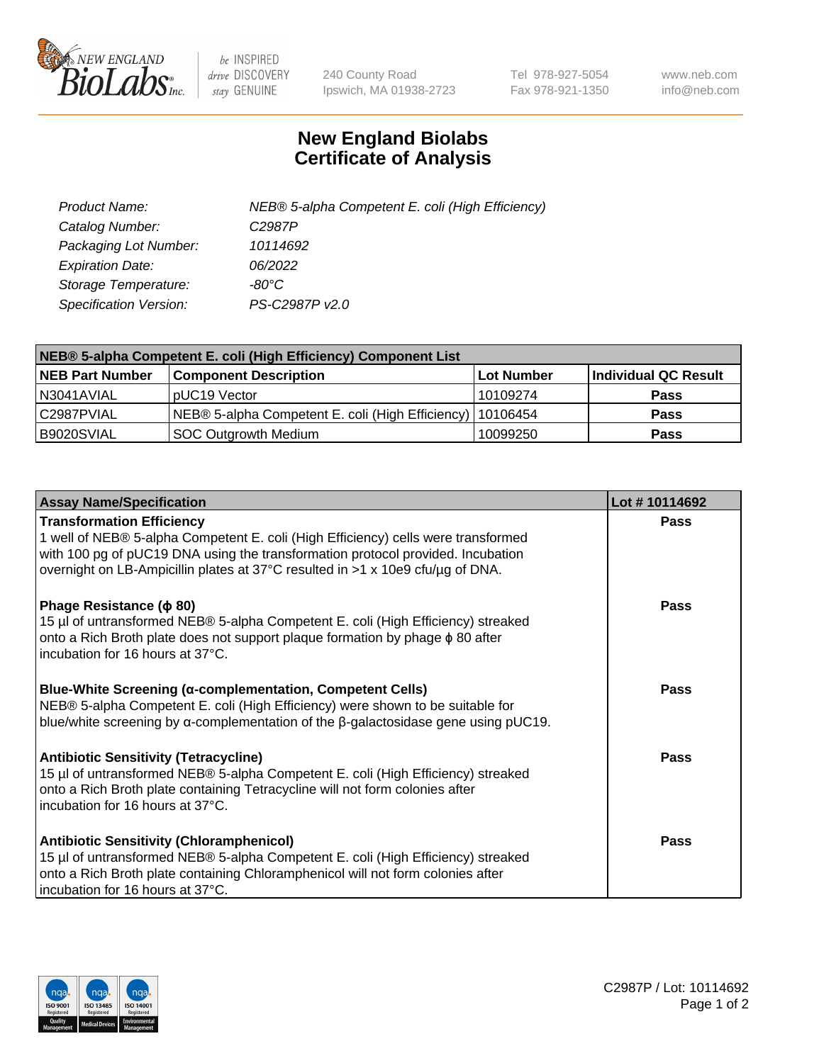

 $be$  INSPIRED drive DISCOVERY stay GENUINE

240 County Road Ipswich, MA 01938-2723 Tel 978-927-5054 Fax 978-921-1350 www.neb.com info@neb.com

## **New England Biolabs Certificate of Analysis**

| Product Name:                 | NEB® 5-alpha Competent E. coli (High Efficiency) |
|-------------------------------|--------------------------------------------------|
| Catalog Number:               | C <sub>2987</sub> P                              |
| Packaging Lot Number:         | 10114692                                         |
| <b>Expiration Date:</b>       | 06/2022                                          |
| Storage Temperature:          | -80°C                                            |
| <b>Specification Version:</b> | PS-C2987P v2.0                                   |

| NEB® 5-alpha Competent E. coli (High Efficiency) Component List |                                                             |                   |                      |  |
|-----------------------------------------------------------------|-------------------------------------------------------------|-------------------|----------------------|--|
| <b>NEB Part Number</b>                                          | <b>Component Description</b>                                | <b>Lot Number</b> | Individual QC Result |  |
| N3041AVIAL                                                      | pUC19 Vector                                                | 10109274          | <b>Pass</b>          |  |
| C2987PVIAL                                                      | NEB® 5-alpha Competent E. coli (High Efficiency)   10106454 |                   | <b>Pass</b>          |  |
| B9020SVIAL                                                      | SOC Outgrowth Medium                                        | 10099250          | <b>Pass</b>          |  |

| <b>Assay Name/Specification</b>                                                                                                                                                                                                                                                            | Lot #10114692 |
|--------------------------------------------------------------------------------------------------------------------------------------------------------------------------------------------------------------------------------------------------------------------------------------------|---------------|
| <b>Transformation Efficiency</b><br>1 well of NEB® 5-alpha Competent E. coli (High Efficiency) cells were transformed<br>with 100 pg of pUC19 DNA using the transformation protocol provided. Incubation<br>overnight on LB-Ampicillin plates at 37°C resulted in >1 x 10e9 cfu/µg of DNA. | Pass          |
| Phage Resistance ( $\phi$ 80)<br>15 µl of untransformed NEB® 5-alpha Competent E. coli (High Efficiency) streaked<br>onto a Rich Broth plate does not support plaque formation by phage $\phi$ 80 after<br>incubation for 16 hours at 37°C.                                                | Pass          |
| <b>Blue-White Screening (α-complementation, Competent Cells)</b><br>NEB® 5-alpha Competent E. coli (High Efficiency) were shown to be suitable for<br>blue/white screening by $\alpha$ -complementation of the $\beta$ -galactosidase gene using pUC19.                                    | Pass          |
| Antibiotic Sensitivity (Tetracycline)<br>15 µl of untransformed NEB® 5-alpha Competent E. coli (High Efficiency) streaked<br>onto a Rich Broth plate containing Tetracycline will not form colonies after<br>incubation for 16 hours at 37°C.                                              | Pass          |
| <b>Antibiotic Sensitivity (Chloramphenicol)</b><br>15 µl of untransformed NEB® 5-alpha Competent E. coli (High Efficiency) streaked<br>onto a Rich Broth plate containing Chloramphenicol will not form colonies after<br>incubation for 16 hours at 37°C.                                 | Pass          |